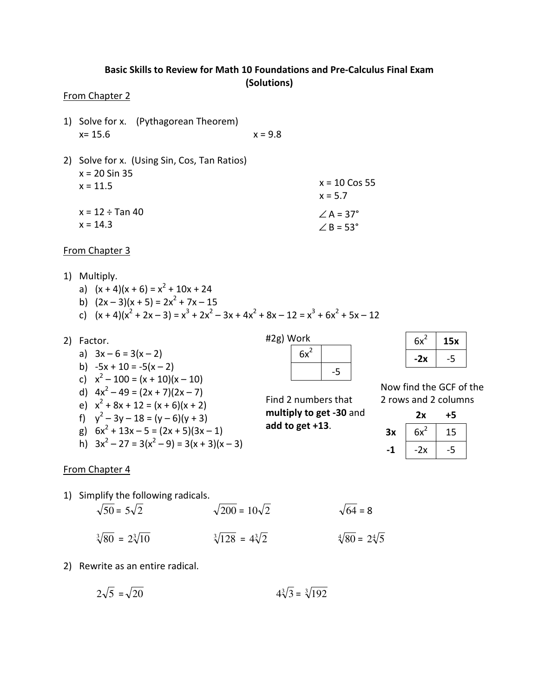# Basic Skills to Review for Math 10 Foundations and Pre-Calculus Final Exam (Solutions)

#### From Chapter 2

- 1) Solve for x. (Pythagorean Theorem)  $x = 15.6$   $x = 9.8$
- 2) Solve for x. (Using Sin, Cos, Tan Ratios) x = 20 Sin 35  $x = 11.5$  $x = 12 \div \text{Tan } 40$  $x = 14.3$  $∠A = 37°$  $\angle$  B = 53° x = 10 Cos 55  $x = 5.7$

#### From Chapter 3

- 1) Multiply.
	- a)  $(x + 4)(x + 6) = x<sup>2</sup> + 10x + 24$
	- b)  $(2x-3)(x+5) = 2x^2 + 7x 15$
	- c)  $(x + 4)(x^2 + 2x 3) = x^3 + 2x^2 3x + 4x^2 + 8x 12 = x^3 + 6x^2 + 5x 12$
- 2) Factor. a)  $3x - 6 = 3(x - 2)$ b)  $-5x + 10 = -5(x - 2)$ c)  $x^2 - 100 = (x + 10)(x - 10)$ d)  $4x^2 - 49 = (2x + 7)(2x - 7)$ e)  $x^2 + 8x + 12 = (x + 6)(x + 2)$ f)  $y^2 - 3y - 18 = (y - 6)(y + 3)$ g)  $6x^2 + 13x - 5 = (2x + 5)(3x - 1)$ h)  $3x^2 - 27 = 3(x^2 - 9) = 3(x + 3)(x - 3)$ #2g) Work Find 2 numbers that multiply to get -30 and add to get +13.

| $6x^2$ |                     |
|--------|---------------------|
|        | E<br>$\blacksquare$ |

| $6x^2$ | 15x |  |
|--------|-----|--|
| -2x    |     |  |

Now find the GCF of the 2 rows and 2 columns

|    | 2х     | +5 |
|----|--------|----|
| Зx | $6x^2$ | 15 |
| -1 | -2x    |    |

#### From Chapter 4

- 1) Simplify the following radicals.  $\sqrt{50} = 5\sqrt{2}$   $\sqrt{200} = 10\sqrt{2}$   $\sqrt{64} = 8$ 
	- $\sqrt[3]{80}$  = 2 $\sqrt[3]{10}$  $\sqrt[3]{128} = 4\sqrt[3]{2}$  $\sqrt[4]{80} = 2\sqrt[4]{5}$
- 2) Rewrite as an entire radical.

$$
2\sqrt{5} = \sqrt{20} \qquad \qquad 4\sqrt[3]{3} = \sqrt[3]{192}
$$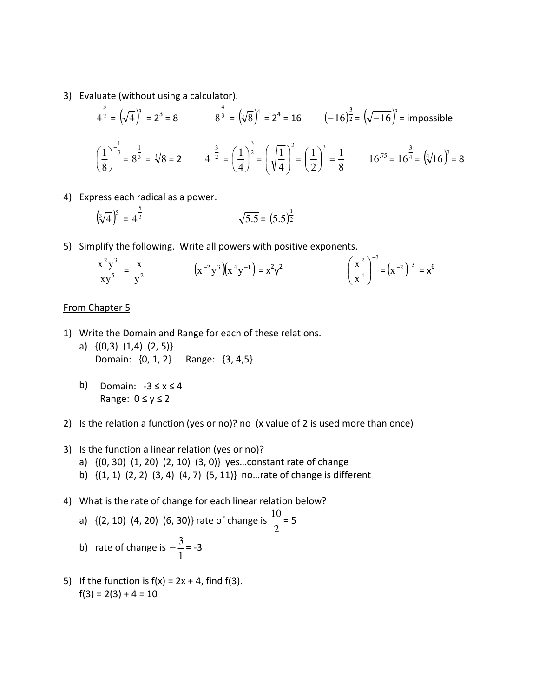3) Evaluate (without using a calculator).

$$
4^{\frac{3}{2}} = (\sqrt{4})^3 = 2^3 = 8
$$
  $8^{\frac{4}{3}} = (\sqrt[3]{8})^4 = 2^4 = 16$   $(-16)^{\frac{3}{2}} = (\sqrt{-16})^3 = \text{impossible}$   
 $(\frac{1}{8})^{-\frac{1}{3}} = 8^{\frac{1}{3}} = \sqrt[3]{8} = 2$   $4^{-\frac{3}{2}} = (\frac{1}{4})^{\frac{3}{2}} = (\sqrt{\frac{1}{4}})^3 = (\frac{1}{2})^3 = \frac{1}{8}$   $16^{.75} = 16^{\frac{3}{4}} = (\sqrt[4]{16})^3 = 8$ 

4) Express each radical as a power.

$$
\left(\sqrt[3]{4}\right)^5 = 4^{\frac{5}{3}} \qquad \qquad \sqrt{5.5} = (5.5)^{\frac{1}{2}}
$$

5) Simplify the following. Write all powers with positive exponents.

$$
\frac{x^2y^3}{xy^5} = \frac{x}{y^2} \qquad \qquad (x^{-2}y^3)(x^4y^{-1}) = x^2y^2 \qquad \qquad \left(\frac{x^2}{x^4}\right)^{-3} = (x^{-2})^{-3} = x^6
$$

### From Chapter 5

- 1) Write the Domain and Range for each of these relations.
	- a) {(0,3) (1,4) (2, 5)} Domain: {0, 1, 2} Range: {3, 4,5}
	- b) Domain: -3 ≤ x ≤ 4 Range:  $0 \le y \le 2$
- 2) Is the relation a function (yes or no)? no (x value of 2 is used more than once)
- 3) Is the function a linear relation (yes or no)? a) {(0, 30) (1, 20) (2, 10) (3, 0)} yes…constant rate of change b) {(1, 1) (2, 2) (3, 4) (4, 7) (5, 11)} no…rate of change is different
- 4) What is the rate of change for each linear relation below?

a) {(2, 10) (4, 20) (6, 30)} rate of change is 
$$
\frac{10}{2}
$$
 = 5

- b) rate of change is 1  $-\frac{3}{4}$  = -3
- 5) If the function is  $f(x) = 2x + 4$ , find  $f(3)$ .  $f(3) = 2(3) + 4 = 10$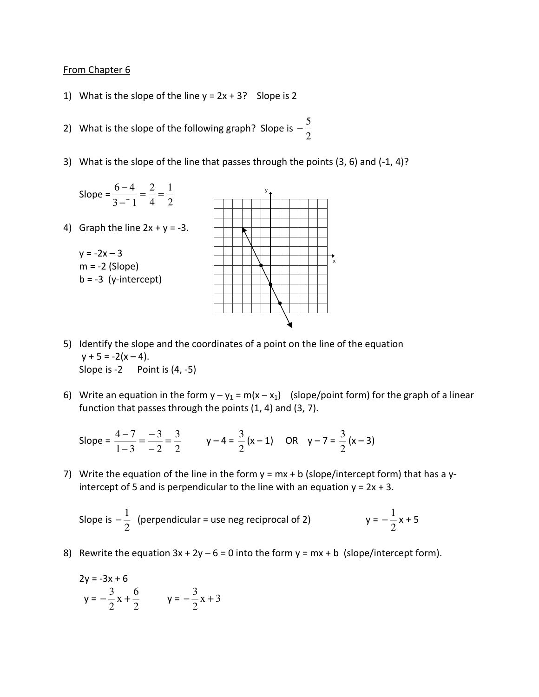## From Chapter 6

- 1) What is the slope of the line  $y = 2x + 3$ ? Slope is 2
- 2) What is the slope of the following graph? Slope is 2  $-\frac{5}{2}$
- 3) What is the slope of the line that passes through the points (3, 6) and (-1, 4)?



- 5) Identify the slope and the coordinates of a point on the line of the equation  $y + 5 = -2(x - 4)$ . Slope is -2 Point is (4, -5)
- 6) Write an equation in the form  $y y_1 = m(x x_1)$  (slope/point form) for the graph of a linear function that passes through the points (1, 4) and (3, 7).

Slope = 
$$
\frac{4-7}{1-3} = \frac{-3}{-2} = \frac{3}{2}
$$
  $y-4 = \frac{3}{2}(x-1)$  OR  $y-7 = \frac{3}{2}(x-3)$ 

7) Write the equation of the line in the form  $y = mx + b$  (slope/intercept form) that has a yintercept of 5 and is perpendicular to the line with an equation  $y = 2x + 3$ .

Slope is 
$$
-\frac{1}{2}
$$
 (perpendicular = use neg reciprocal of 2)  $y = -\frac{1}{2}x + 5$ 

8) Rewrite the equation  $3x + 2y - 6 = 0$  into the form  $y = mx + b$  (slope/intercept form).

$$
2y = -3x + 6
$$
  
y =  $-\frac{3}{2}x + \frac{6}{2}$  y =  $-\frac{3}{2}x + 3$